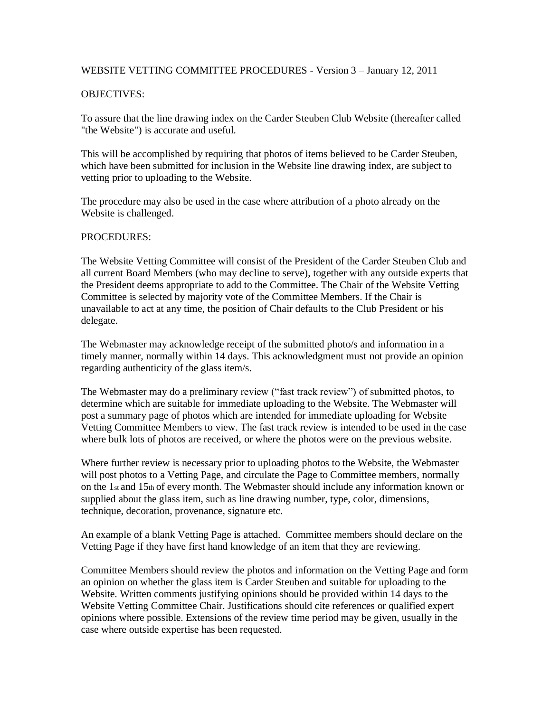## WEBSITE VETTING COMMITTEE PROCEDURES - Version 3 – January 12, 2011

## OBJECTIVES:

To assure that the line drawing index on the Carder Steuben Club Website (thereafter called "the Website") is accurate and useful.

This will be accomplished by requiring that photos of items believed to be Carder Steuben, which have been submitted for inclusion in the Website line drawing index, are subject to vetting prior to uploading to the Website.

The procedure may also be used in the case where attribution of a photo already on the Website is challenged.

## PROCEDURES:

The Website Vetting Committee will consist of the President of the Carder Steuben Club and all current Board Members (who may decline to serve), together with any outside experts that the President deems appropriate to add to the Committee. The Chair of the Website Vetting Committee is selected by majority vote of the Committee Members. If the Chair is unavailable to act at any time, the position of Chair defaults to the Club President or his delegate.

The Webmaster may acknowledge receipt of the submitted photo/s and information in a timely manner, normally within 14 days. This acknowledgment must not provide an opinion regarding authenticity of the glass item/s.

The Webmaster may do a preliminary review ("fast track review") of submitted photos, to determine which are suitable for immediate uploading to the Website. The Webmaster will post a summary page of photos which are intended for immediate uploading for Website Vetting Committee Members to view. The fast track review is intended to be used in the case where bulk lots of photos are received, or where the photos were on the previous website.

Where further review is necessary prior to uploading photos to the Website, the Webmaster will post photos to a Vetting Page, and circulate the Page to Committee members, normally on the  $1_{st}$  and  $15_{th}$  of every month. The Webmaster should include any information known or supplied about the glass item, such as line drawing number, type, color, dimensions, technique, decoration, provenance, signature etc.

An example of a blank Vetting Page is attached. Committee members should declare on the Vetting Page if they have first hand knowledge of an item that they are reviewing.

Committee Members should review the photos and information on the Vetting Page and form an opinion on whether the glass item is Carder Steuben and suitable for uploading to the Website. Written comments justifying opinions should be provided within 14 days to the Website Vetting Committee Chair. Justifications should cite references or qualified expert opinions where possible. Extensions of the review time period may be given, usually in the case where outside expertise has been requested.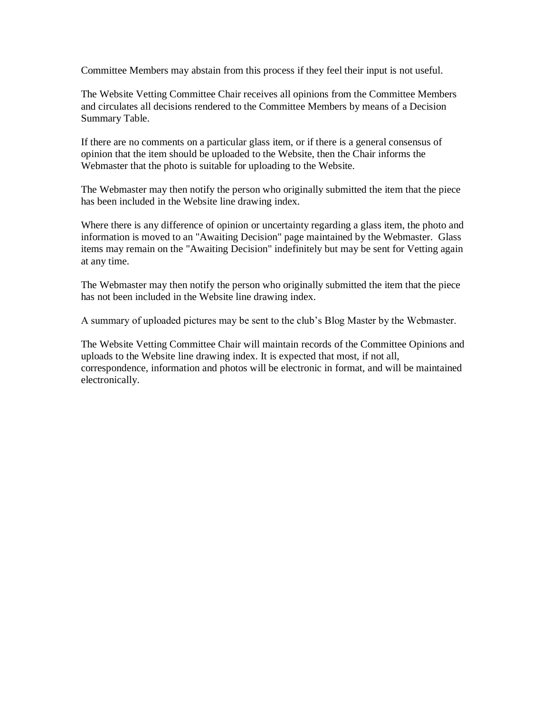Committee Members may abstain from this process if they feel their input is not useful.

The Website Vetting Committee Chair receives all opinions from the Committee Members and circulates all decisions rendered to the Committee Members by means of a Decision Summary Table.

If there are no comments on a particular glass item, or if there is a general consensus of opinion that the item should be uploaded to the Website, then the Chair informs the Webmaster that the photo is suitable for uploading to the Website.

The Webmaster may then notify the person who originally submitted the item that the piece has been included in the Website line drawing index.

Where there is any difference of opinion or uncertainty regarding a glass item, the photo and information is moved to an "Awaiting Decision" page maintained by the Webmaster. Glass items may remain on the "Awaiting Decision" indefinitely but may be sent for Vetting again at any time.

The Webmaster may then notify the person who originally submitted the item that the piece has not been included in the Website line drawing index.

A summary of uploaded pictures may be sent to the club's Blog Master by the Webmaster.

The Website Vetting Committee Chair will maintain records of the Committee Opinions and uploads to the Website line drawing index. It is expected that most, if not all, correspondence, information and photos will be electronic in format, and will be maintained electronically.